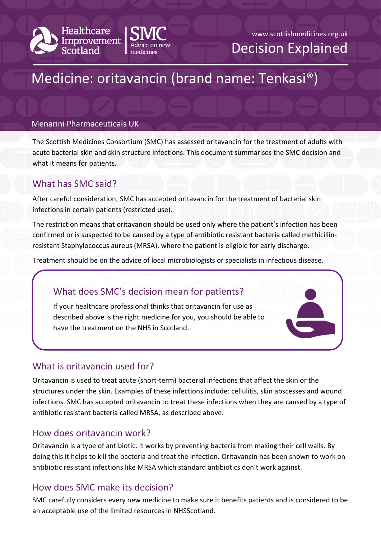



# Medicine: oritavancin (brand name: Tenkasi®)

#### Menarini Pharmaceuticals UK

The Scottish Medicines Consortium (SMC) has assessed oritavancin for the treatment of adults with acute bacterial skin and skin structure infections. This document summarises the SMC decision and what it means for patients.

## What has SMC said?

After careful consideration, SMC has accepted oritavancin for the treatment of bacterial skin infections in certain patients (restricted use).

The restriction means that oritavancin should be used only where the patient's infection has been confirmed or is suspected to be caused by a type of antibiotic resistant bacteria called methicillinresistant Staphylococcus aureus (MRSA), where the patient is eligible for early discharge.

Treatment should be on the advice of local microbiologists or specialists in infectious disease.

### What does SMC's decision mean for patients?

If your healthcare professional thinks that oritavancin for use as described above is the right medicine for you, you should be able to have the treatment on the NHS in Scotland.

### What is oritavancin used for?

Oritavancin is used to treat acute (short-term) bacterial infections that affect the skin or the structures under the skin. Examples of these infections include: cellulitis, skin abscesses and wound infections. SMC has accepted oritavancin to treat these infections when they are caused by a type of antibiotic resistant bacteria called MRSA, as described above.

### How does oritavancin work?

Oritavancin is a type of antibiotic. It works by preventing bacteria from making their cell walls. By doing this it helps to kill the bacteria and treat the infection. Oritavancin has been shown to work on antibiotic resistant infections like MRSA which standard antibiotics don't work against.

### How does SMC make its decision?

SMC carefully considers every new medicine to make sure it benefits patients and is considered to be an acceptable use of the limited resources in NHSScotland.